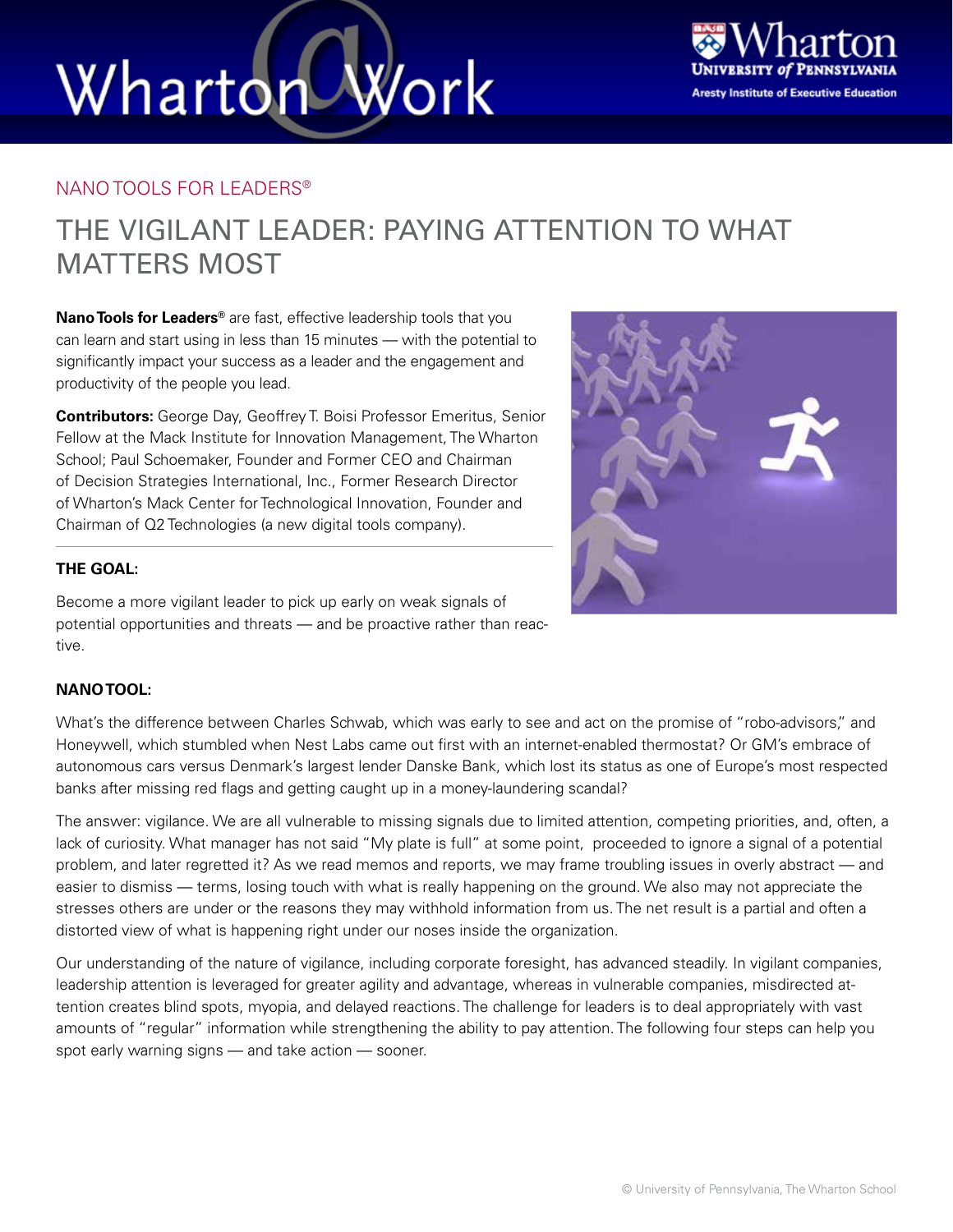# Wharton Work



#### NANO TOOLS FOR LEADERS®

### THE VIGILANT LEADER: PAYING ATTENTION TO WHAT MATTERS MOST

**Nano Tools for Leaders®** are fast, effective leadership tools that you can learn and start using in less than 15 minutes — with the potential to significantly impact your success as a leader and the engagement and productivity of the people you lead.

**Contributors:** George Day, Geoffrey T. Boisi Professor Emeritus, Senior Fellow at the Mack Institute for Innovation Management, The Wharton School; Paul Schoemaker, Founder and Former CEO and Chairman of Decision Strategies International, Inc., Former Research Director of Wharton's Mack Center for Technological Innovation, Founder and Chairman of Q2 Technologies (a new digital tools company).

#### **THE GOAL:**

Become a more vigilant leader to pick up early on weak signals of potential opportunities and threats — and be proactive rather than reactive.

#### **NANO TOOL:**

What's the difference between Charles Schwab, which was early to see and act on the promise of "robo-advisors," and Honeywell, which stumbled when Nest Labs came out first with an internet-enabled thermostat? Or GM's embrace of autonomous cars versus Denmark's largest lender Danske Bank, which lost its status as one of Europe's most respected banks after missing red flags and getting caught up in a money-laundering scandal?

The answer: vigilance. We are all vulnerable to missing signals due to limited attention, competing priorities, and, often, a lack of curiosity. What manager has not said "My plate is full" at some point, proceeded to ignore a signal of a potential problem, and later regretted it? As we read memos and reports, we may frame troubling issues in overly abstract — and easier to dismiss — terms, losing touch with what is really happening on the ground. We also may not appreciate the stresses others are under or the reasons they may withhold information from us. The net result is a partial and often a distorted view of what is happening right under our noses inside the organization.

Our understanding of the nature of vigilance, including corporate foresight, has advanced steadily. In vigilant companies, leadership attention is leveraged for greater agility and advantage, whereas in vulnerable companies, misdirected attention creates blind spots, myopia, and delayed reactions. The challenge for leaders is to deal appropriately with vast amounts of "regular" information while strengthening the ability to pay attention. The following four steps can help you spot early warning signs — and take action — sooner.

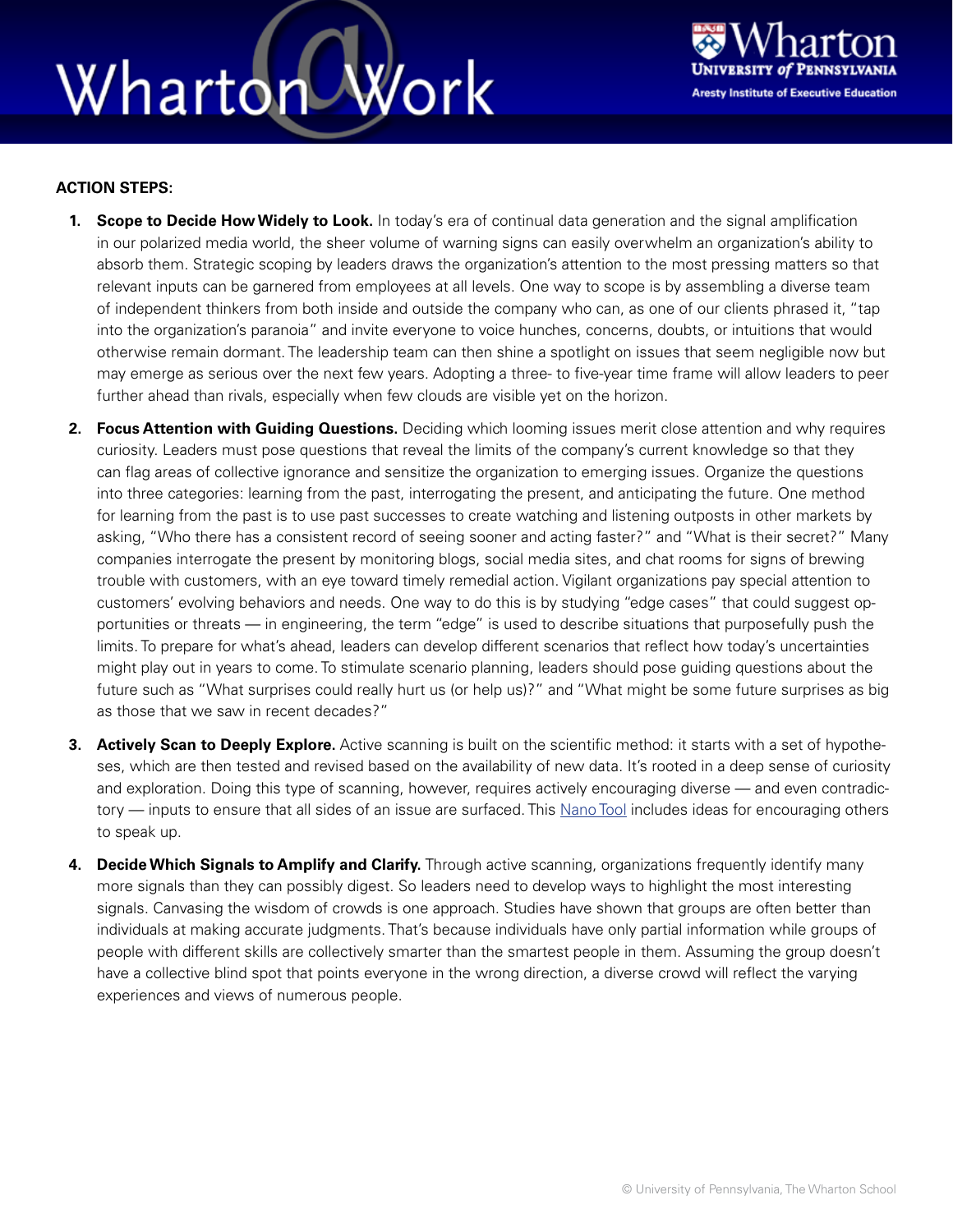### Wharton Work



#### **ACTION STEPS:**

- **1. Scope to Decide How Widely to Look.** In today's era of continual data generation and the signal amplification in our polarized media world, the sheer volume of warning signs can easily overwhelm an organization's ability to absorb them. Strategic scoping by leaders draws the organization's attention to the most pressing matters so that relevant inputs can be garnered from employees at all levels. One way to scope is by assembling a diverse team of independent thinkers from both inside and outside the company who can, as one of our clients phrased it, "tap into the organization's paranoia" and invite everyone to voice hunches, concerns, doubts, or intuitions that would otherwise remain dormant. The leadership team can then shine a spotlight on issues that seem negligible now but may emerge as serious over the next few years. Adopting a three- to five-year time frame will allow leaders to peer further ahead than rivals, especially when few clouds are visible yet on the horizon.
- **2. Focus Attention with Guiding Questions.** Deciding which looming issues merit close attention and why requires curiosity. Leaders must pose questions that reveal the limits of the company's current knowledge so that they can flag areas of collective ignorance and sensitize the organization to emerging issues. Organize the questions into three categories: learning from the past, interrogating the present, and anticipating the future. One method for learning from the past is to use past successes to create watching and listening outposts in other markets by asking, "Who there has a consistent record of seeing sooner and acting faster?" and "What is their secret?" Many companies interrogate the present by monitoring blogs, social media sites, and chat rooms for signs of brewing trouble with customers, with an eye toward timely remedial action. Vigilant organizations pay special attention to customers' evolving behaviors and needs. One way to do this is by studying "edge cases" that could suggest opportunities or threats — in engineering, the term "edge" is used to describe situations that purposefully push the limits. To prepare for what's ahead, leaders can develop different scenarios that reflect how today's uncertainties might play out in years to come. To stimulate scenario planning, leaders should pose guiding questions about the future such as "What surprises could really hurt us (or help us)?" and "What might be some future surprises as big as those that we saw in recent decades?"
- **3. Actively Scan to Deeply Explore.** Active scanning is built on the scientific method: it starts with a set of hypotheses, which are then tested and revised based on the availability of new data. It's rooted in a deep sense of curiosity and exploration. Doing this type of scanning, however, requires actively encouraging diverse — and even contradic-tory — inputs to ensure that all sides of an issue are surfaced. This [Nano Tool](https://executiveeducation.wharton.upenn.edu/thought-leadership/wharton-at-work/2014/11/being-there/) includes ideas for encouraging others to speak up.
- **4. Decide Which Signals to Amplify and Clarify.** Through active scanning, organizations frequently identify many more signals than they can possibly digest. So leaders need to develop ways to highlight the most interesting signals. Canvasing the wisdom of crowds is one approach. Studies have shown that groups are often better than individuals at making accurate judgments. That's because individuals have only partial information while groups of people with different skills are collectively smarter than the smartest people in them. Assuming the group doesn't have a collective blind spot that points everyone in the wrong direction, a diverse crowd will reflect the varying experiences and views of numerous people.